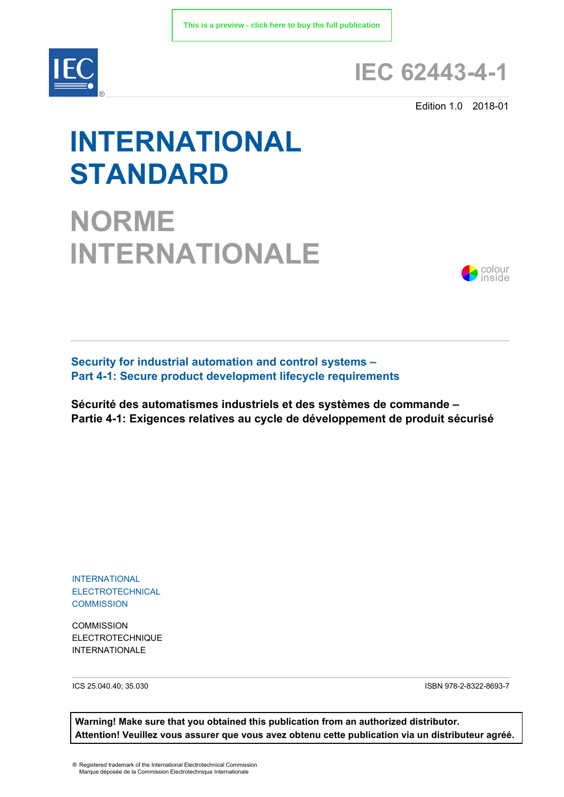

### **IEC 62443-4-1**

Edition 1.0 2018-01

# **INTERNATIONAL STANDARD**

## **NORME INTERNATIONALE**



**Security for industrial automation and control systems – Part 4-1: Secure product development lifecycle requirements** 

**Sécurité des automatismes industriels et des systèmes de commande – Partie 4-1: Exigences relatives au cycle de développement de produit sécurisé**

INTERNATIONAL ELECTROTECHNICAL **COMMISSION** 

**COMMISSION** ELECTROTECHNIQUE INTERNATIONALE

ICS 25.040.40; 35.030 ISBN 978-2-8322-8693-7

**Warning! Make sure that you obtained this publication from an authorized distributor. Attention! Veuillez vous assurer que vous avez obtenu cette publication via un distributeur agréé.**

® Registered trademark of the International Electrotechnical Commission Marque déposée de la Commission Electrotechnique Internationale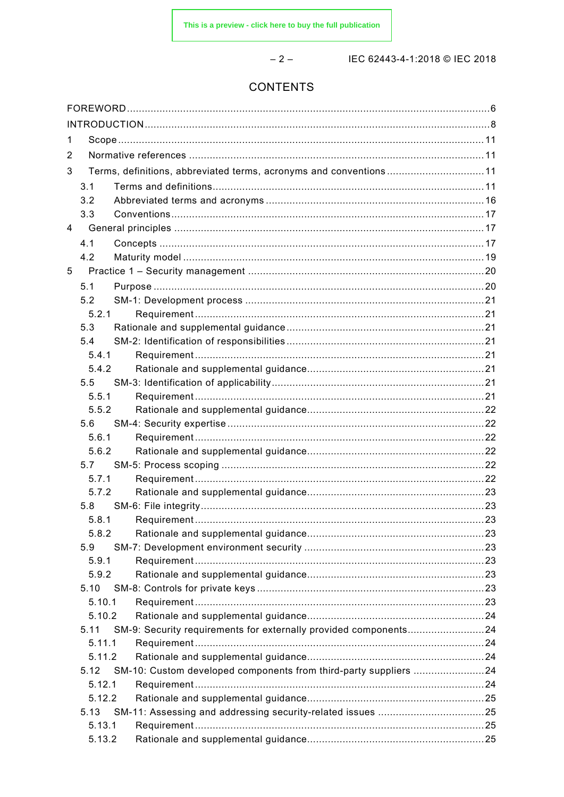$-2-$ 

IEC 62443-4-1:2018 © IEC 2018

### CONTENTS

| 1              |        |                                                                   |  |
|----------------|--------|-------------------------------------------------------------------|--|
| 2              |        |                                                                   |  |
| 3              |        | Terms, definitions, abbreviated terms, acronyms and conventions11 |  |
|                | 3.1    |                                                                   |  |
|                | 3.2    |                                                                   |  |
|                | 3.3    |                                                                   |  |
| $\overline{4}$ |        |                                                                   |  |
|                | 4.1    |                                                                   |  |
|                | 4.2    |                                                                   |  |
| 5              |        |                                                                   |  |
|                | 5.1    |                                                                   |  |
|                | 5.2    |                                                                   |  |
|                | 5.2.1  |                                                                   |  |
|                | 5.3    |                                                                   |  |
|                | 5.4    |                                                                   |  |
|                | 5.4.1  |                                                                   |  |
|                | 5.4.2  |                                                                   |  |
|                | 5.5    |                                                                   |  |
|                | 5.5.1  |                                                                   |  |
|                | 5.5.2  |                                                                   |  |
|                | 5.6    |                                                                   |  |
|                | 5.6.1  |                                                                   |  |
|                | 5.6.2  |                                                                   |  |
|                | 5.7    |                                                                   |  |
|                | 5.7.1  |                                                                   |  |
|                | 5.7.2  |                                                                   |  |
|                | 5.8    |                                                                   |  |
|                | 5.8.1  |                                                                   |  |
|                | 5.8.2  |                                                                   |  |
|                | 5.9    |                                                                   |  |
|                | 5.9.1  |                                                                   |  |
|                | 5.9.2  |                                                                   |  |
|                | 5.10   |                                                                   |  |
|                | 5.10.1 |                                                                   |  |
|                | 5.10.2 |                                                                   |  |
|                | 5.11   | SM-9: Security requirements for externally provided components24  |  |
|                | 5.11.1 |                                                                   |  |
|                | 5.11.2 |                                                                   |  |
|                | 5.12   | SM-10: Custom developed components from third-party suppliers 24  |  |
|                | 5.12.1 |                                                                   |  |
|                | 5.12.2 |                                                                   |  |
|                | 5.13   |                                                                   |  |
|                | 5.13.1 |                                                                   |  |
|                | 5.13.2 |                                                                   |  |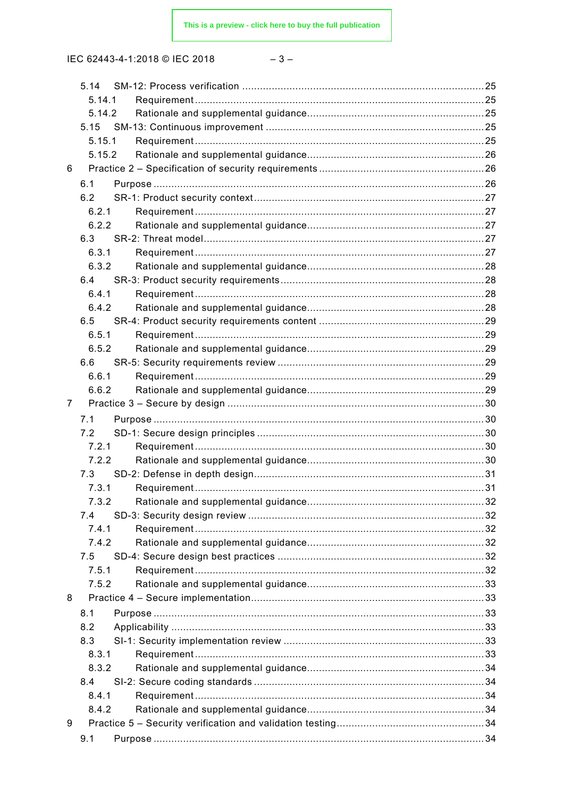$$
-3-
$$

|   | 5.14   |  |
|---|--------|--|
|   | 5.14.1 |  |
|   | 5.14.2 |  |
|   | 5.15   |  |
|   | 5.15.1 |  |
|   | 5.15.2 |  |
| 6 |        |  |
|   | 6.1    |  |
|   | 6.2    |  |
|   | 6.2.1  |  |
|   | 6.2.2  |  |
|   | 6.3    |  |
|   | 6.3.1  |  |
|   | 6.3.2  |  |
|   |        |  |
|   | 6.4    |  |
|   | 6.4.1  |  |
|   | 6.4.2  |  |
|   | 6.5    |  |
|   | 6.5.1  |  |
|   | 6.5.2  |  |
|   | 6.6    |  |
|   | 6.6.1  |  |
|   | 6.6.2  |  |
| 7 |        |  |
|   | 7.1    |  |
|   | 7.2    |  |
|   | 7.2.1  |  |
|   | 7.2.2  |  |
|   | 7.3    |  |
|   | 7.3.1  |  |
|   | 7.3.2  |  |
|   | 7.4    |  |
|   | 7.4.1  |  |
|   | 7.4.2  |  |
|   | 7.5    |  |
|   | 7.5.1  |  |
|   | 7.5.2  |  |
| 8 |        |  |
|   | 8.1    |  |
|   | 8.2    |  |
|   |        |  |
|   | 8.3    |  |
|   | 8.3.1  |  |
|   | 8.3.2  |  |
|   | 8.4    |  |
|   | 8.4.1  |  |
|   | 8.4.2  |  |
| 9 |        |  |
|   | 9.1    |  |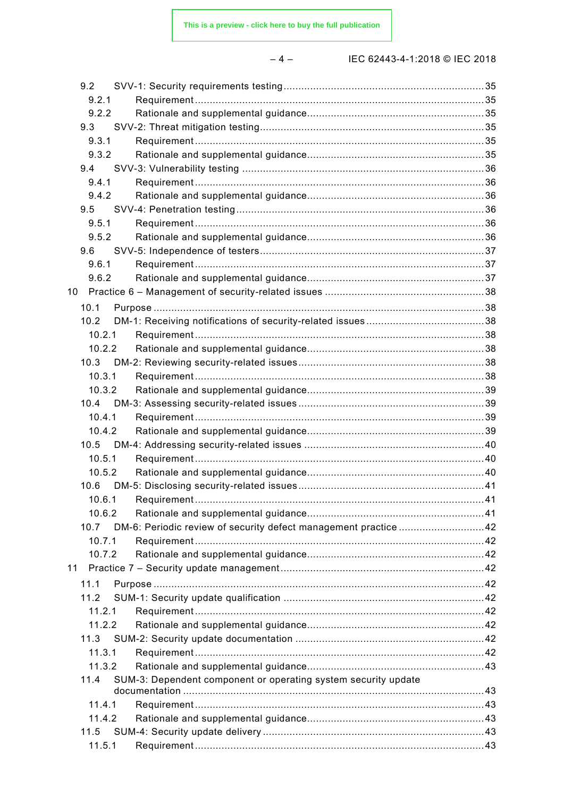$-4-$ 

| 9.2    |                                                                 |  |
|--------|-----------------------------------------------------------------|--|
| 9.2.1  |                                                                 |  |
| 9.2.2  |                                                                 |  |
| 9.3    |                                                                 |  |
| 9.3.1  |                                                                 |  |
| 9.3.2  |                                                                 |  |
| 9.4    |                                                                 |  |
| 9.4.1  |                                                                 |  |
| 9.4.2  |                                                                 |  |
| 9.5    |                                                                 |  |
| 9.5.1  |                                                                 |  |
| 9.5.2  |                                                                 |  |
| 9.6    |                                                                 |  |
| 9.6.1  |                                                                 |  |
| 9.6.2  |                                                                 |  |
| 10     |                                                                 |  |
| 10.1   |                                                                 |  |
| 10.2   |                                                                 |  |
| 10.2.1 |                                                                 |  |
| 10.2.2 |                                                                 |  |
| 10.3   |                                                                 |  |
| 10.3.1 |                                                                 |  |
| 10.3.2 |                                                                 |  |
| 10.4   |                                                                 |  |
| 10.4.1 |                                                                 |  |
| 10.4.2 |                                                                 |  |
| 10.5   |                                                                 |  |
| 10.5.1 |                                                                 |  |
| 10.5.2 |                                                                 |  |
| 10.6   |                                                                 |  |
|        | 10.6.1 Requirement.                                             |  |
| 10.6.2 |                                                                 |  |
| 10.7   | DM-6: Periodic review of security defect management practice 42 |  |
| 10.7.1 |                                                                 |  |
| 10.7.2 |                                                                 |  |
| 11     |                                                                 |  |
|        |                                                                 |  |
| 11.1   |                                                                 |  |
| 11.2   |                                                                 |  |
| 11.2.1 |                                                                 |  |
| 11.2.2 |                                                                 |  |
| 11.3   |                                                                 |  |
| 11.3.1 |                                                                 |  |
| 11.3.2 |                                                                 |  |
| 11.4   | SUM-3: Dependent component or operating system security update  |  |
|        |                                                                 |  |
| 11.4.1 |                                                                 |  |
| 11.4.2 |                                                                 |  |
| 11.5   |                                                                 |  |
| 11.5.1 |                                                                 |  |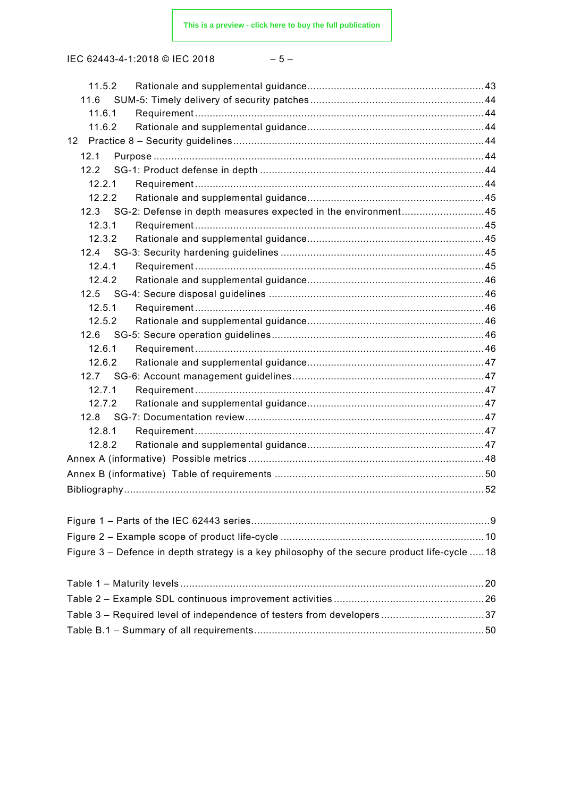$$
-\;5\;-\;
$$

| 11.5.2                                                                                        |  |
|-----------------------------------------------------------------------------------------------|--|
| 11.6                                                                                          |  |
| 11.6.1                                                                                        |  |
| 11.6.2                                                                                        |  |
| 12 <sup>2</sup>                                                                               |  |
| 12.1                                                                                          |  |
| 12.2                                                                                          |  |
| 12.2.1                                                                                        |  |
| 12.2.2                                                                                        |  |
| 12.3 SG-2: Defense in depth measures expected in the environment45                            |  |
| 12.3.1                                                                                        |  |
| 12.3.2                                                                                        |  |
|                                                                                               |  |
| 12.4.1                                                                                        |  |
| 12.4.2                                                                                        |  |
|                                                                                               |  |
| 12.5.1                                                                                        |  |
| 12.5.2                                                                                        |  |
|                                                                                               |  |
| 12.6.1                                                                                        |  |
| 12.6.2                                                                                        |  |
|                                                                                               |  |
| 12.7.1                                                                                        |  |
| 12.7.2                                                                                        |  |
|                                                                                               |  |
| 12.8.1                                                                                        |  |
| 12.8.2                                                                                        |  |
|                                                                                               |  |
|                                                                                               |  |
|                                                                                               |  |
|                                                                                               |  |
|                                                                                               |  |
|                                                                                               |  |
|                                                                                               |  |
| Figure 3 – Defence in depth strategy is a key philosophy of the secure product life-cycle  18 |  |
|                                                                                               |  |
|                                                                                               |  |
|                                                                                               |  |
| Table 3 - Required level of independence of testers from developers37                         |  |
|                                                                                               |  |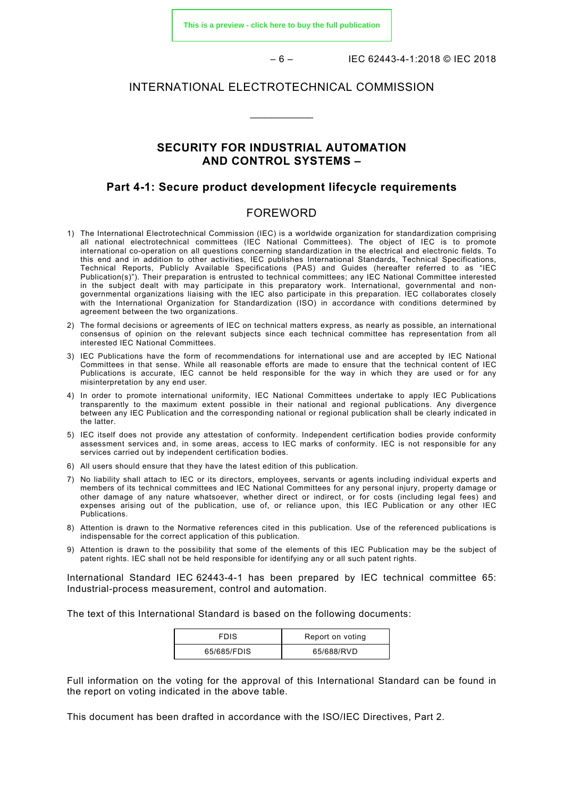**[This is a preview - click here to buy the full publication](https://webstore.iec.ch/publication/33615&preview)**

 $-6 -$  IEC 62443-4-1:2018 © IEC 2018

#### INTERNATIONAL ELECTROTECHNICAL COMMISSION

\_\_\_\_\_\_\_\_\_\_\_\_

#### **SECURITY FOR INDUSTRIAL AUTOMATION AND CONTROL SYSTEMS –**

#### **Part 4-1: Secure product development lifecycle requirements**

#### FOREWORD

- <span id="page-5-0"></span>1) The International Electrotechnical Commission (IEC) is a worldwide organization for standardization comprising all national electrotechnical committees (IEC National Committees). The object of IEC is to promote international co-operation on all questions concerning standardization in the electrical and electronic fields. To this end and in addition to other activities, IEC publishes International Standards, Technical Specifications, Technical Reports, Publicly Available Specifications (PAS) and Guides (hereafter referred to as "IEC Publication(s)"). Their preparation is entrusted to technical committees; any IEC National Committee interested in the subject dealt with may participate in this preparatory work. International, governmental and nongovernmental organizations liaising with the IEC also participate in this preparation. IEC collaborates closely with the International Organization for Standardization (ISO) in accordance with conditions determined by agreement between the two organizations.
- 2) The formal decisions or agreements of IEC on technical matters express, as nearly as possible, an international consensus of opinion on the relevant subjects since each technical committee has representation from all interested IEC National Committees.
- 3) IEC Publications have the form of recommendations for international use and are accepted by IEC National Committees in that sense. While all reasonable efforts are made to ensure that the technical content of IEC Publications is accurate, IEC cannot be held responsible for the way in which they are used or for any misinterpretation by any end user.
- 4) In order to promote international uniformity, IEC National Committees undertake to apply IEC Publications transparently to the maximum extent possible in their national and regional publications. Any divergence between any IEC Publication and the corresponding national or regional publication shall be clearly indicated in the latter.
- 5) IEC itself does not provide any attestation of conformity. Independent certification bodies provide conformity assessment services and, in some areas, access to IEC marks of conformity. IEC is not responsible for any services carried out by independent certification bodies.
- 6) All users should ensure that they have the latest edition of this publication.
- 7) No liability shall attach to IEC or its directors, employees, servants or agents including individual experts and members of its technical committees and IEC National Committees for any personal injury, property damage or other damage of any nature whatsoever, whether direct or indirect, or for costs (including legal fees) and expenses arising out of the publication, use of, or reliance upon, this IEC Publication or any other IEC Publications.
- 8) Attention is drawn to the Normative references cited in this publication. Use of the referenced publications is indispensable for the correct application of this publication.
- 9) Attention is drawn to the possibility that some of the elements of this IEC Publication may be the subject of patent rights. IEC shall not be held responsible for identifying any or all such patent rights.

International Standard IEC 62443-4-1 has been prepared by IEC technical committee 65: Industrial-process measurement, control and automation.

The text of this International Standard is based on the following documents:

| <b>FDIS</b> | Report on voting |
|-------------|------------------|
| 65/685/FDIS | 65/688/RVD       |

Full information on the voting for the approval of this International Standard can be found in the report on voting indicated in the above table.

This document has been drafted in accordance with the ISO/IEC Directives, Part 2.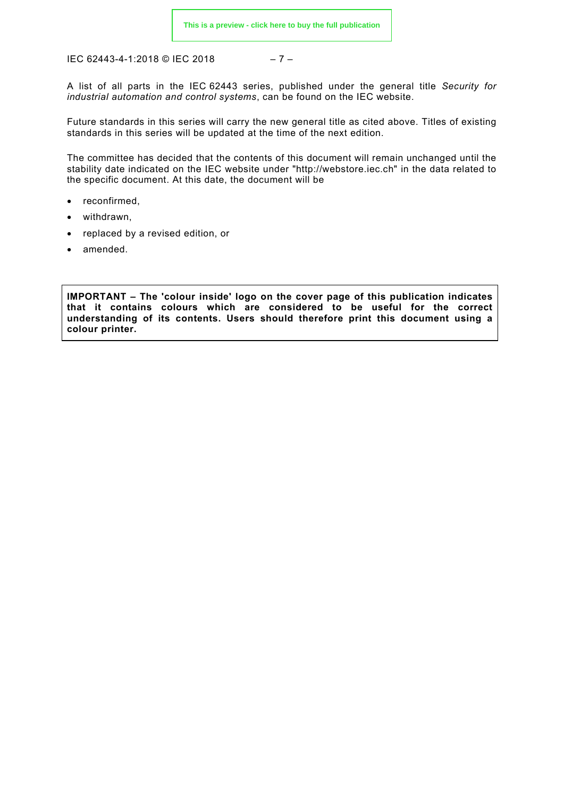$$
-7 -
$$

A list of all parts in the IEC 62443 series, published under the general title *Security for industrial automation and control systems*, can be found on the IEC website.

Future standards in this series will carry the new general title as cited above. Titles of existing standards in this series will be updated at the time of the next edition.

The committee has decided that the contents of this document will remain unchanged until the stability date indicated on the IEC website under ["http://webstore.iec.ch"](http://webstore.iec.ch/) in the data related to the specific document. At this date, the document will be

- reconfirmed,
- withdrawn,
- replaced by a revised edition, or
- amended.

**IMPORTANT – The 'colour inside' logo on the cover page of this publication indicates that it contains colours which are considered to be useful for the correct understanding of its contents. Users should therefore print this document using a colour printer.**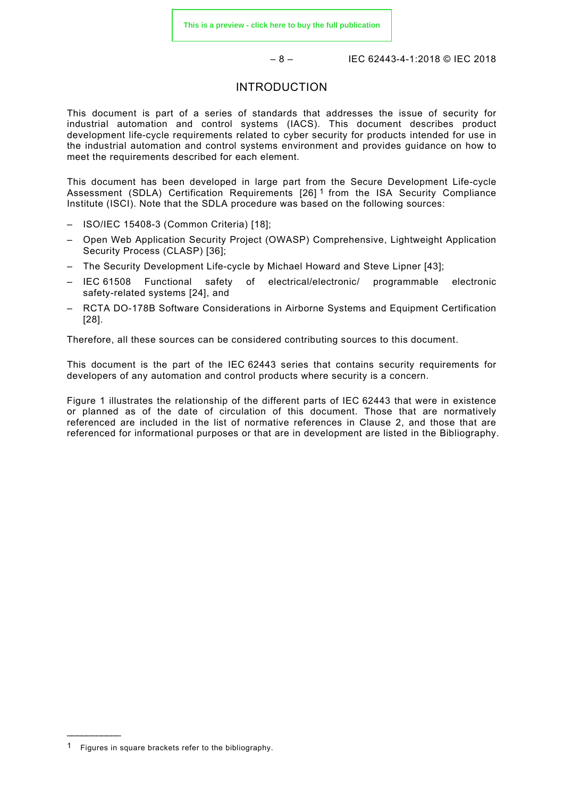#### INTRODUCTION

<span id="page-7-0"></span>This document is part of a series of standards that addresses the issue of security for industrial automation and control systems (IACS). This document describes product development life-cycle requirements related to cyber security for products intended for use in the industrial automation and control systems environment and provides guidance on how to meet the requirements described for each element.

This document has been developed in large part from the Secure Development Life-cycle Assessment (SDLA) Certification Requirements [26] [1](#page-7-1) from the ISA Security Compliance Institute (ISCI). Note that the SDLA procedure was based on the following sources:

- ISO/IEC 15408-3 (Common Criteria) [18];
- Open Web Application Security Project (OWASP) Comprehensive, Lightweight Application Security Process (CLASP) [36];
- The Security Development Life-cycle by Michael Howard and Steve Lipner [43];
- IEC 61508 Functional safety of electrical/electronic/ programmable electronic safety-related systems [24], and
- RCTA DO-178B Software Considerations in Airborne Systems and Equipment Certification [28].

Therefore, all these sources can be considered contributing sources to this document.

This document is the part of the IEC 62443 series that contains security requirements for developers of any automation and control products where security is a concern.

[Figure 1](#page-8-0) illustrates the relationship of the different parts of IEC 62443 that were in existence or planned as of the date of circulation of this document. Those that are normatively referenced are included in the list of normative references in Clause [2,](#page-10-1) and those that are referenced for informational purposes or that are in development are listed in the Bibliography.

\_\_\_\_\_\_\_\_\_\_\_

<span id="page-7-1"></span><sup>1</sup> Figures in square brackets refer to the bibliography.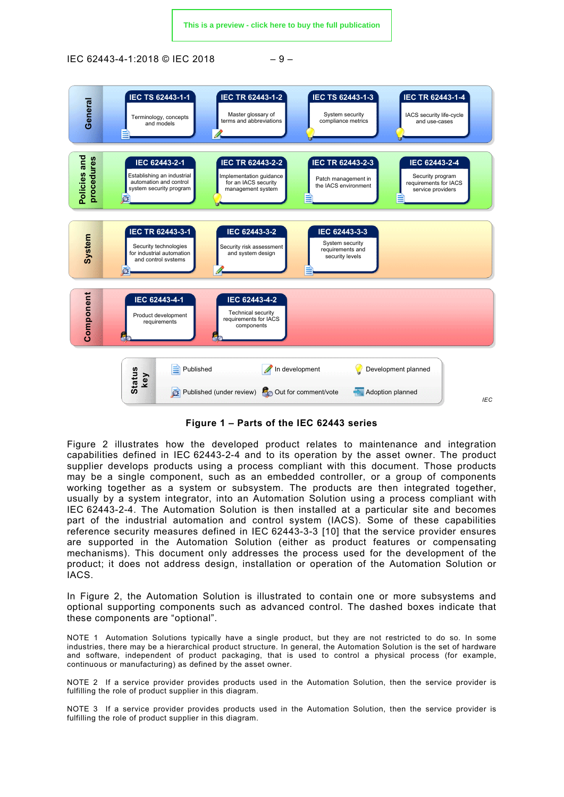IEC 62443-4-1:2018 © IEC 2018 – 9 –



**Figure 1 – Parts of the IEC 62443 series**

<span id="page-8-0"></span>[Figure 2](#page-9-0) illustrates how the developed product relates to maintenance and integration capabilities defined in IEC 62443-2-4 and to its operation by the asset owner. The product supplier develops products using a process compliant with this document. Those products may be a single component, such as an embedded controller, or a group of components working together as a system or subsystem. The products are then integrated together, usually by a system integrator, into an Automation Solution using a process compliant with IEC 62443-2-4. The Automation Solution is then installed at a particular site and becomes part of the industrial automation and control system (IACS). Some of these capabilities reference security measures defined in IEC 62443-3-3 [10] that the service provider ensures are supported in the Automation Solution (either as product features or compensating mechanisms). This document only addresses the process used for the development of the product; it does not address design, installation or operation of the Automation Solution or IACS.

In [Figure 2,](#page-9-0) the Automation Solution is illustrated to contain one or more subsystems and optional supporting components such as advanced control. The dashed boxes indicate that these components are "optional".

NOTE 1 Automation Solutions typically have a single product, but they are not restricted to do so. In some industries, there may be a hierarchical product structure. In general, the Automation Solution is the set of hardware and software, independent of product packaging, that is used to control a physical process (for example, continuous or manufacturing) as defined by the asset owner.

NOTE 2 If a service provider provides products used in the Automation Solution, then the service provider is fulfilling the role of product supplier in this diagram.

NOTE 3 If a service provider provides products used in the Automation Solution, then the service provider is fulfilling the role of product supplier in this diagram.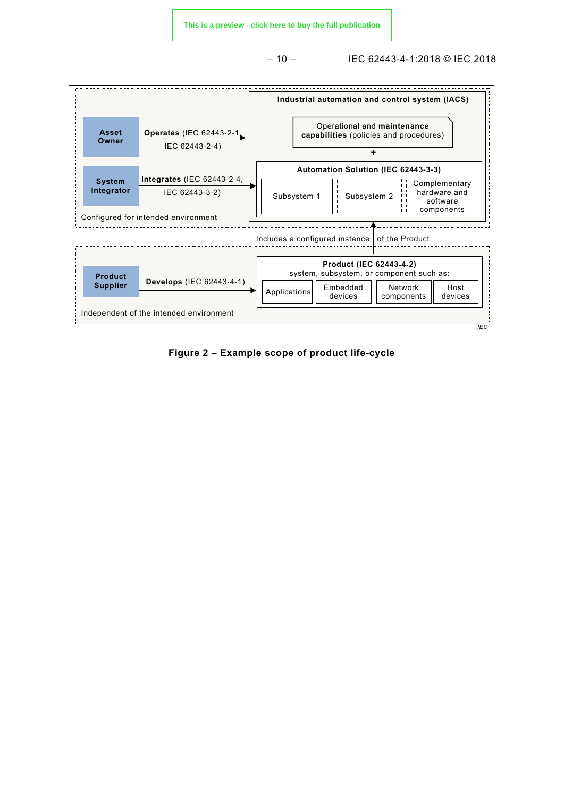**[This is a preview - click here to buy the full publication](https://webstore.iec.ch/publication/33615&preview)**

– 10 – IEC 62443-4-1:2018 © IEC 2018



<span id="page-9-0"></span>**Figure 2 – Example scope of product life-cycle**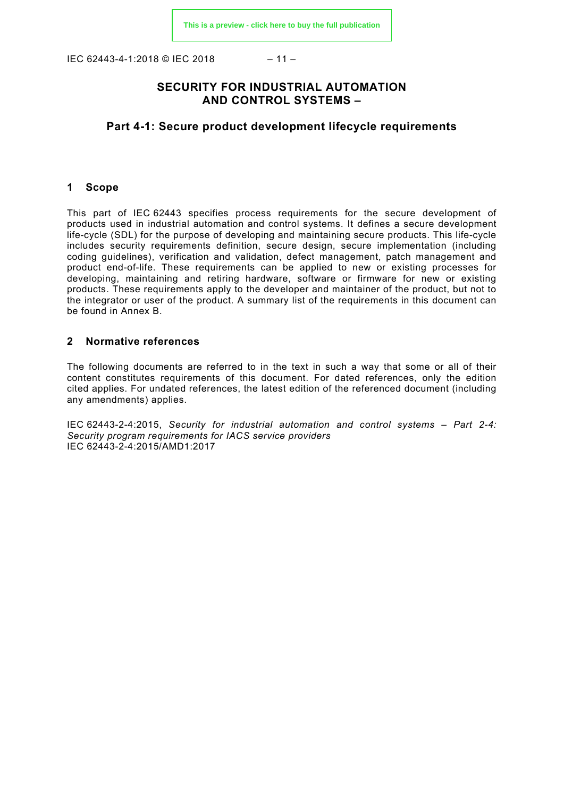IEC 62443-4-1:2018 © IEC 2018 – 11 –

#### **SECURITY FOR INDUSTRIAL AUTOMATION AND CONTROL SYSTEMS –**

#### **Part 4-1: Secure product development lifecycle requirements**

#### <span id="page-10-0"></span>**1 Scope**

This part of IEC 62443 specifies process requirements for the secure development of products used in industrial automation and control systems. It defines a secure development life-cycle (SDL) for the purpose of developing and maintaining secure products. This life-cycle includes security requirements definition, secure design, secure implementation (including coding guidelines), verification and validation, defect management, patch management and product end-of-life. These requirements can be applied to new or existing processes for developing, maintaining and retiring hardware, software or firmware for new or existing products. These requirements apply to the developer and maintainer of the product, but not to the integrator or user of the product. A summary list of the requirements in this document can be found in Annex B.

#### <span id="page-10-1"></span>**2 Normative references**

The following documents are referred to in the text in such a way that some or all of their content constitutes requirements of this document. For dated references, only the edition cited applies. For undated references, the latest edition of the referenced document (including any amendments) applies.

<span id="page-10-4"></span><span id="page-10-3"></span><span id="page-10-2"></span>IEC 62443-2-4:2015, *Security for industrial automation and control systems – Part 2-4: Security program requirements for IACS service providers*  IEC 62443-2-4:2015/AMD1:2017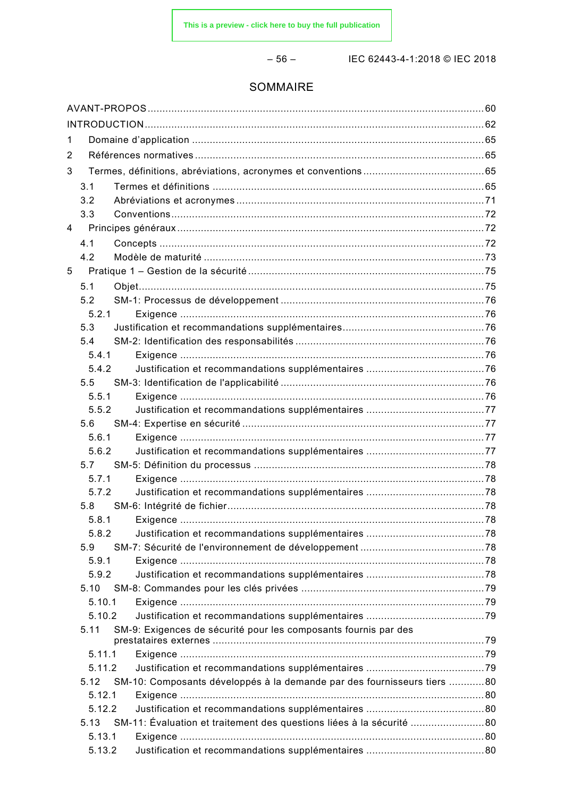$-56-$ 

IEC 62443-4-1:2018 © IEC 2018

#### SOMMAIRE

| 1 |                  |                                                                         |  |
|---|------------------|-------------------------------------------------------------------------|--|
| 2 |                  |                                                                         |  |
| 3 |                  |                                                                         |  |
|   | 3.1              |                                                                         |  |
|   | 3.2              |                                                                         |  |
|   | 3.3              |                                                                         |  |
| 4 |                  |                                                                         |  |
|   | 4.1              |                                                                         |  |
|   | 4.2              |                                                                         |  |
| 5 |                  |                                                                         |  |
|   | 5.1              |                                                                         |  |
|   | 5.2              |                                                                         |  |
|   | 5.2.1            |                                                                         |  |
|   | 5.3              |                                                                         |  |
|   | 5.4              |                                                                         |  |
|   | 5.4.1            |                                                                         |  |
|   | 5.4.2            |                                                                         |  |
|   | 5.5              |                                                                         |  |
|   | 5.5.1            |                                                                         |  |
|   | 5.5.2            |                                                                         |  |
|   | 5.6              |                                                                         |  |
|   | 5.6.1            |                                                                         |  |
|   | 5.6.2            |                                                                         |  |
|   | 5.7              |                                                                         |  |
|   | 5.7.1            |                                                                         |  |
|   | 5.7.2            |                                                                         |  |
|   | 5.8              |                                                                         |  |
|   | 5.8.1            |                                                                         |  |
|   | 5.8.2            |                                                                         |  |
|   | 5.9              |                                                                         |  |
|   | 5.9.1            |                                                                         |  |
|   | 5.9.2            |                                                                         |  |
|   | 5.10             |                                                                         |  |
|   | 5.10.1<br>5.10.2 |                                                                         |  |
|   | 5.11             | SM-9: Exigences de sécurité pour les composants fournis par des         |  |
|   |                  |                                                                         |  |
|   | 5.11.1           |                                                                         |  |
|   | 5.11.2           |                                                                         |  |
|   | 5.12             | SM-10: Composants développés à la demande par des fournisseurs tiers 80 |  |
|   | 5.12.1           |                                                                         |  |
|   | 5.12.2           |                                                                         |  |
|   | 5.13             | SM-11: Évaluation et traitement des questions liées à la sécurité       |  |
|   | 5.13.1           |                                                                         |  |
|   | 5.13.2           |                                                                         |  |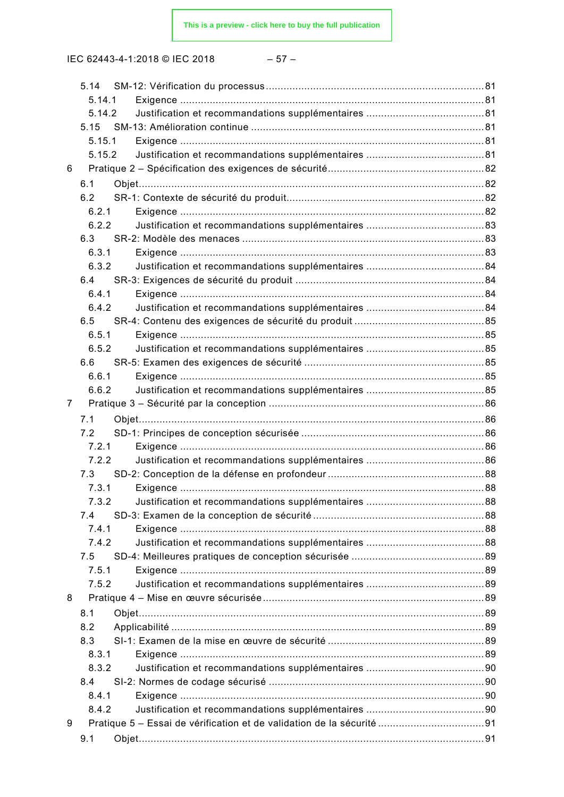IEC 62443-4-1:2018 © IEC 2018 – 57 –

|   | 5.14.1 |  |
|---|--------|--|
|   | 5.14.2 |  |
|   | 5.15   |  |
|   | 5.15.1 |  |
|   | 5.15.2 |  |
| 6 |        |  |
|   | 6.1    |  |
|   | 6.2    |  |
|   | 6.2.1  |  |
|   | 6.2.2  |  |
|   | 6.3    |  |
|   | 6.3.1  |  |
|   | 6.3.2  |  |
|   | 6.4    |  |
|   | 6.4.1  |  |
|   | 6.4.2  |  |
|   | 6.5    |  |
|   | 6.5.1  |  |
|   | 6.5.2  |  |
|   | 6.6    |  |
|   | 6.6.1  |  |
|   | 6.6.2  |  |
| 7 |        |  |
|   | 7.1    |  |
|   | 7.2    |  |
|   | 7.2.1  |  |
|   | 7.2.2  |  |
|   | 7.3    |  |
|   | 7.3.1  |  |
|   | 7.3.2  |  |
|   | 7.4    |  |
|   | 7.4.1  |  |
|   | 7.4.2  |  |
|   | 7.5    |  |
|   | 7.5.1  |  |
|   | 7.5.2  |  |
| 8 |        |  |
|   | 8.1    |  |
|   | 8.2    |  |
|   | 8.3    |  |
|   | 8.3.1  |  |
|   | 8.3.2  |  |
|   | 8.4    |  |
|   | 8.4.1  |  |
|   | 8.4.2  |  |
| 9 |        |  |
|   | 9.1    |  |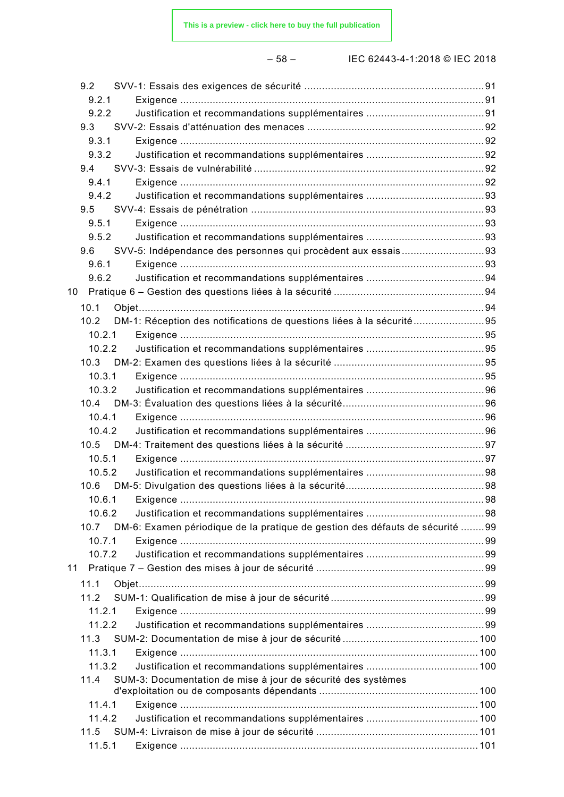– 58 – IEC 62443-4-1:2018 © IEC 2018

|    | 9.2              |                                                                              |     |
|----|------------------|------------------------------------------------------------------------------|-----|
|    | 9.2.1            |                                                                              |     |
|    | 9.2.2            |                                                                              |     |
|    | 9.3              |                                                                              |     |
|    | 9.3.1            |                                                                              |     |
|    | 9.3.2            |                                                                              |     |
|    | 9.4              |                                                                              |     |
|    | 9.4.1            |                                                                              |     |
|    | 9.4.2            |                                                                              |     |
|    | 9.5              |                                                                              |     |
|    | 9.5.1            |                                                                              |     |
|    | 9.5.2            |                                                                              |     |
|    | 9.6              | SVV-5: Indépendance des personnes qui procèdent aux essais93                 |     |
|    | 9.6.1            |                                                                              |     |
|    | 9.6.2            |                                                                              |     |
|    |                  |                                                                              |     |
|    | 10.1             |                                                                              |     |
|    | 10.2             | DM-1: Réception des notifications de questions liées à la sécurité           |     |
|    | 10.2.1           |                                                                              |     |
|    | 10.2.2           |                                                                              |     |
|    | 10.3             |                                                                              |     |
|    | 10.3.1           |                                                                              |     |
|    | 10.3.2           |                                                                              |     |
|    |                  |                                                                              |     |
|    | 10.4.1           |                                                                              |     |
|    | 10.4.2           |                                                                              |     |
|    |                  |                                                                              |     |
|    | 10.5.1           |                                                                              |     |
|    | 10.5.2           |                                                                              |     |
|    |                  |                                                                              |     |
|    |                  |                                                                              | .98 |
|    | 10.6.2           |                                                                              |     |
|    | 10.7             | DM-6: Examen périodique de la pratique de gestion des défauts de sécurité 99 |     |
|    | 10.7.1           |                                                                              |     |
|    | 10.7.2           |                                                                              |     |
| 11 |                  |                                                                              |     |
|    |                  |                                                                              |     |
|    | 11.1             |                                                                              |     |
|    | 11.2             |                                                                              |     |
|    | 11.2.1           |                                                                              |     |
|    | 11.2.2           |                                                                              |     |
|    | 11.3             |                                                                              |     |
|    | 11.3.1           |                                                                              |     |
|    | 11.3.2           |                                                                              |     |
|    | 11.4             | SUM-3: Documentation de mise à jour de sécurité des systèmes                 |     |
|    |                  |                                                                              |     |
|    | 11.4.1<br>11.4.2 |                                                                              |     |
|    |                  |                                                                              |     |
|    | 11.5             |                                                                              |     |
|    | 11.5.1           |                                                                              |     |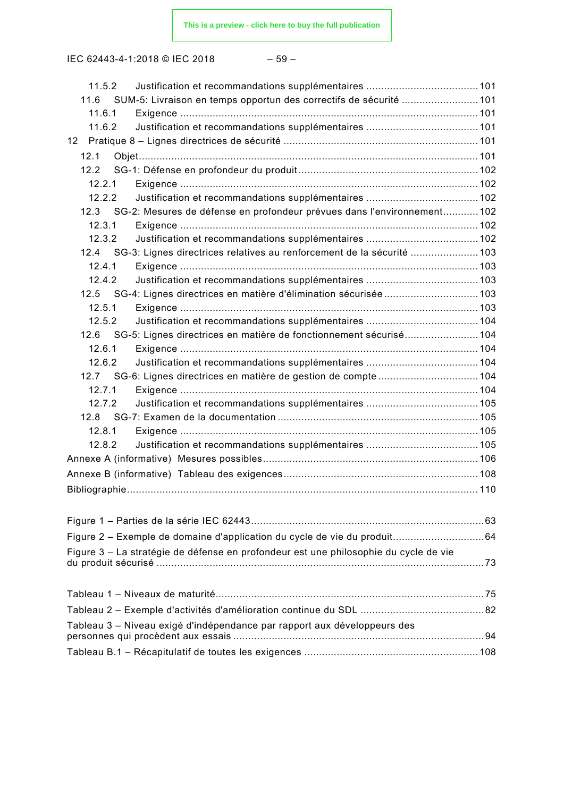| ۰,<br>۰. |  |
|----------|--|
|----------|--|

| 11.5.2                                                                               |  |
|--------------------------------------------------------------------------------------|--|
| 11.6 SUM-5: Livraison en temps opportun des correctifs de sécurité  101              |  |
| 11.6.1                                                                               |  |
| 11.6.2                                                                               |  |
| 12                                                                                   |  |
| 12.1                                                                                 |  |
| 122                                                                                  |  |
| 12.2.1                                                                               |  |
| 12.2.2                                                                               |  |
| 12.3 SG-2: Mesures de défense en profondeur prévues dans l'environnement 102         |  |
| 12.3.1                                                                               |  |
| 12.3.2                                                                               |  |
| 12.4 SG-3: Lignes directrices relatives au renforcement de la sécurité  103          |  |
| 12.4.1                                                                               |  |
| 12.4.2                                                                               |  |
| 12.5 SG-4: Lignes directrices en matière d'élimination sécurisée  103                |  |
| 12.5.1                                                                               |  |
| 12.5.2                                                                               |  |
| 12.6 SG-5: Lignes directrices en matière de fonctionnement sécurisé 104              |  |
| 12.6.1                                                                               |  |
| 12.6.2                                                                               |  |
|                                                                                      |  |
| 12.7.1                                                                               |  |
| 12.7.2                                                                               |  |
|                                                                                      |  |
| 12.8.1                                                                               |  |
| 12.8.2                                                                               |  |
|                                                                                      |  |
|                                                                                      |  |
|                                                                                      |  |
|                                                                                      |  |
|                                                                                      |  |
| Figure 2 - Exemple de domaine d'application du cycle de vie du produit 64            |  |
| Figure 3 – La stratégie de défense en profondeur est une philosophie du cycle de vie |  |
|                                                                                      |  |
|                                                                                      |  |
|                                                                                      |  |
|                                                                                      |  |
| Tableau 3 – Niveau exigé d'indépendance par rapport aux développeurs des             |  |
|                                                                                      |  |
|                                                                                      |  |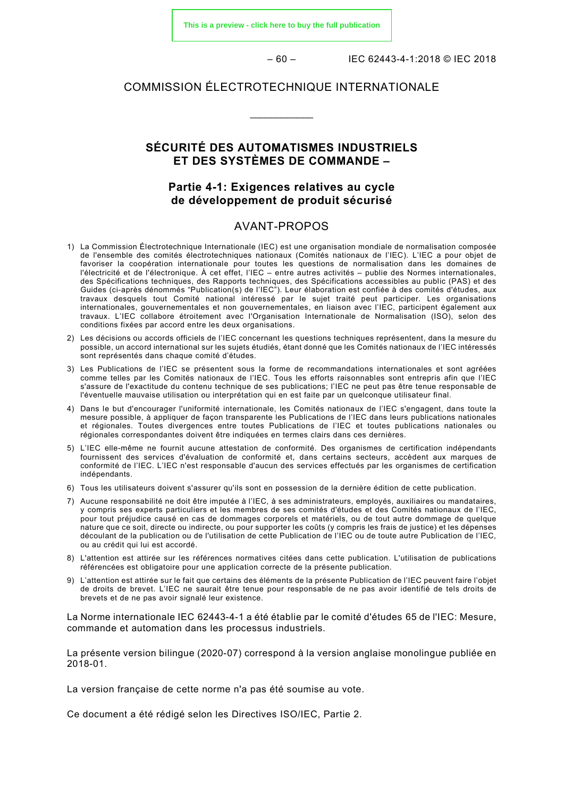**[This is a preview - click here to buy the full publication](https://webstore.iec.ch/publication/33615&preview)**

 $-60 -$  IEC 62443-4-1:2018 © IEC 2018

#### COMMISSION ÉLECTROTECHNIQUE INTERNATIONALE

\_\_\_\_\_\_\_\_\_\_\_\_

#### **SÉCURITÉ DES AUTOMATISMES INDUSTRIELS ET DES SYSTÈMES DE COMMANDE –**

#### **Partie 4-1: Exigences relatives au cycle de développement de produit sécurisé**

#### AVANT-PROPOS

- <span id="page-15-0"></span>1) La Commission Électrotechnique Internationale (IEC) est une organisation mondiale de normalisation composée de l'ensemble des comités électrotechniques nationaux (Comités nationaux de l'IEC). L'IEC a pour objet de favoriser la coopération internationale pour toutes les questions de normalisation dans les domaines de l'électricité et de l'électronique. À cet effet, l'IEC – entre autres activités – publie des Normes internationales, des Spécifications techniques, des Rapports techniques, des Spécifications accessibles au public (PAS) et des Guides (ci-après dénommés "Publication(s) de l'IEC"). Leur élaboration est confiée à des comités d'études, aux travaux desquels tout Comité national intéressé par le sujet traité peut participer. Les organisations internationales, gouvernementales et non gouvernementales, en liaison avec l'IEC, participent également aux travaux. L'IEC collabore étroitement avec l'Organisation Internationale de Normalisation (ISO), selon des conditions fixées par accord entre les deux organisations.
- 2) Les décisions ou accords officiels de l'IEC concernant les questions techniques représentent, dans la mesure du possible, un accord international sur les sujets étudiés, étant donné que les Comités nationaux de l'IEC intéressés sont représentés dans chaque comité d'études.
- 3) Les Publications de l'IEC se présentent sous la forme de recommandations internationales et sont agréées comme telles par les Comités nationaux de l'IEC. Tous les efforts raisonnables sont entrepris afin que l'IEC s'assure de l'exactitude du contenu technique de ses publications; l'IEC ne peut pas être tenue responsable de l'éventuelle mauvaise utilisation ou interprétation qui en est faite par un quelconque utilisateur final.
- 4) Dans le but d'encourager l'uniformité internationale, les Comités nationaux de l'IEC s'engagent, dans toute la mesure possible, à appliquer de façon transparente les Publications de l'IEC dans leurs publications nationales et régionales. Toutes divergences entre toutes Publications de l'IEC et toutes publications nationales ou régionales correspondantes doivent être indiquées en termes clairs dans ces dernières.
- 5) L'IEC elle-même ne fournit aucune attestation de conformité. Des organismes de certification indépendants fournissent des services d'évaluation de conformité et, dans certains secteurs, accèdent aux marques de conformité de l'IEC. L'IEC n'est responsable d'aucun des services effectués par les organismes de certification indépendants.
- 6) Tous les utilisateurs doivent s'assurer qu'ils sont en possession de la dernière édition de cette publication.
- 7) Aucune responsabilité ne doit être imputée à l'IEC, à ses administrateurs, employés, auxiliaires ou mandataires, y compris ses experts particuliers et les membres de ses comités d'études et des Comités nationaux de l'IEC, pour tout préjudice causé en cas de dommages corporels et matériels, ou de tout autre dommage de quelque nature que ce soit, directe ou indirecte, ou pour supporter les coûts (y compris les frais de justice) et les dépenses découlant de la publication ou de l'utilisation de cette Publication de l'IEC ou de toute autre Publication de l'IEC, ou au crédit qui lui est accordé.
- 8) L'attention est attirée sur les références normatives citées dans cette publication. L'utilisation de publications référencées est obligatoire pour une application correcte de la présente publication.
- 9) L'attention est attirée sur le fait que certains des éléments de la présente Publication de l'IEC peuvent faire l'objet de droits de brevet. L'IEC ne saurait être tenue pour responsable de ne pas avoir identifié de tels droits de brevets et de ne pas avoir signalé leur existence.

La Norme internationale IEC 62443-4-1 a été établie par le comité d'études 65 de l'IEC: Mesure, commande et automation dans les processus industriels.

La présente version bilingue (2020-07) correspond à la version anglaise monolingue publiée en 2018-01.

La version française de cette norme n'a pas été soumise au vote.

Ce document a été rédigé selon les Directives ISO/IEC, Partie 2.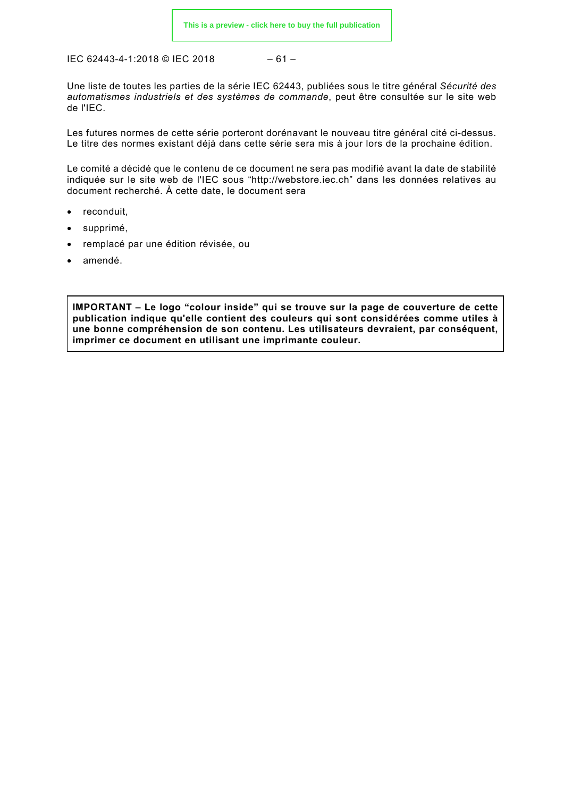$$
-61-
$$

Une liste de toutes les parties de la série IEC 62443, publiées sous le titre général *Sécurité des automatismes industriels et des systèmes de commande*, peut être consultée sur le site web de l'IEC.

Les futures normes de cette série porteront dorénavant le nouveau titre général cité ci-dessus. Le titre des normes existant déjà dans cette série sera mis à jour lors de la prochaine édition.

Le comité a décidé que le contenu de ce document ne sera pas modifié avant la date de stabilité indiquée sur le site web de l'IEC sous ["http://webstore.iec.ch"](http://webstore.iec.ch/) dans les données relatives au document recherché. À cette date, le document sera

- reconduit,
- supprimé,
- remplacé par une édition révisée, ou
- amendé.

**IMPORTANT – Le logo "colour inside" qui se trouve sur la page de couverture de cette publication indique qu'elle contient des couleurs qui sont considérées comme utiles à une bonne compréhension de son contenu. Les utilisateurs devraient, par conséquent, imprimer ce document en utilisant une imprimante couleur.**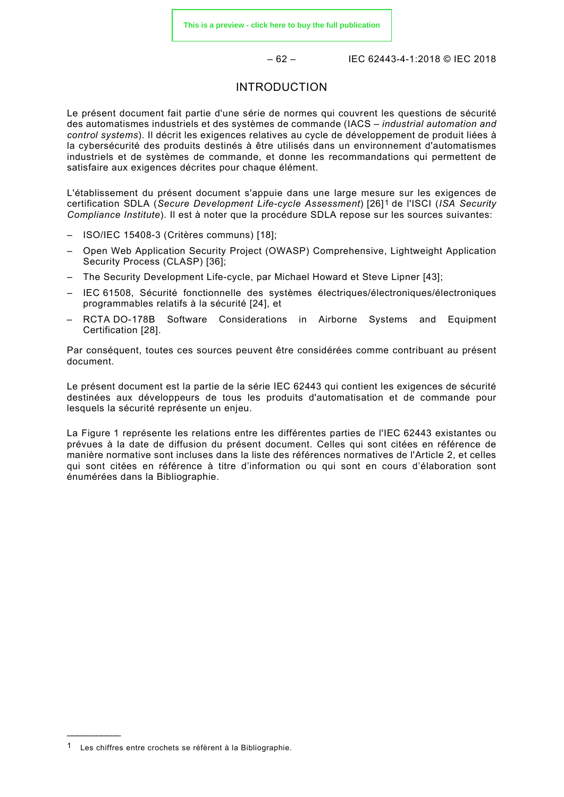– 62 – IEC 62443-4-1:2018 © IEC 2018

#### INTRODUCTION

<span id="page-17-0"></span>Le présent document fait partie d'une série de normes qui couvrent les questions de sécurité des automatismes industriels et des systèmes de commande (IACS – *industrial automation and control systems*). Il décrit les exigences relatives au cycle de développement de produit liées à la cybersécurité des produits destinés à être utilisés dans un environnement d'automatismes industriels et de systèmes de commande, et donne les recommandations qui permettent de satisfaire aux exigences décrites pour chaque élément.

L'établissement du présent document s'appuie dans une large mesure sur les exigences de certification SDLA (*Secure Development Life-cycle Assessment*) [26][1](#page-17-1) de l'ISCI (*ISA Security Compliance Institute*). Il est à noter que la procédure SDLA repose sur les sources suivantes:

- ISO/IEC 15408-3 (Critères communs) [18];
- Open Web Application Security Project (OWASP) Comprehensive, Lightweight Application Security Process (CLASP) [36];
- The Security Development Life-cycle, par Michael Howard et Steve Lipner [43];
- IEC 61508, Sécurité fonctionnelle des systèmes électriques/électroniques/électroniques programmables relatifs à la sécurité [24], et
- RCTA DO-178B Software Considerations in Airborne Systems and Equipment Certification [28].

Par conséquent, toutes ces sources peuvent être considérées comme contribuant au présent document.

Le présent document est la partie de la série IEC 62443 qui contient les exigences de sécurité destinées aux développeurs de tous les produits d'automatisation et de commande pour lesquels la sécurité représente un enjeu.

La [Figure 1](#page-18-0) représente les relations entre les différentes parties de l'IEC 62443 existantes ou prévues à la date de diffusion du présent document. Celles qui sont citées en référence de manière normative sont incluses dans la liste des références normatives de l'Article [2,](#page-20-1) et celles qui sont citées en référence à titre d'information ou qui sont en cours d'élaboration sont énumérées dans la Bibliographie.

\_\_\_\_\_\_\_\_\_\_\_

<span id="page-17-1"></span><sup>1</sup> Les chiffres entre crochets se réfèrent à la Bibliographie.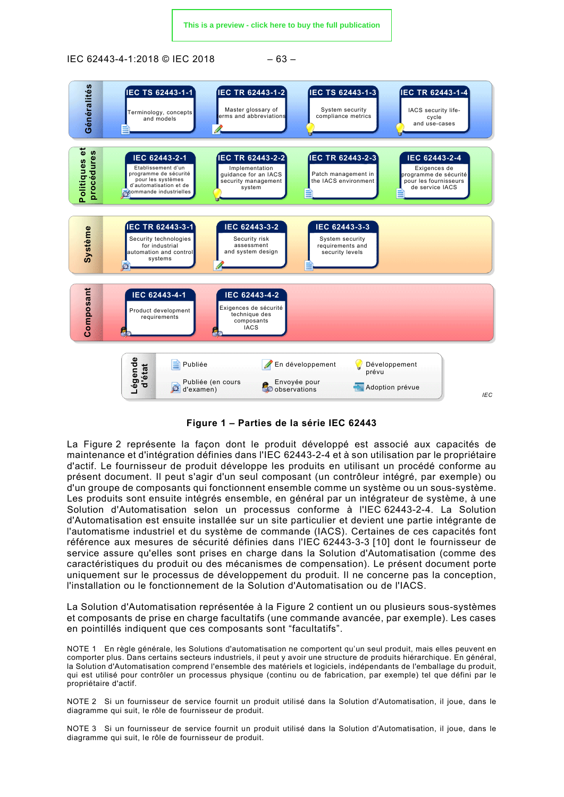**[This is a preview - click here to buy the full publication](https://webstore.iec.ch/publication/33615&preview)**

IEC 62443-4-1:2018 © IEC 2018 – 63 –



**Figure 1 – Parties de la série IEC 62443**

<span id="page-18-0"></span>La [Figure 2](#page-19-0) représente la façon dont le produit développé est associé aux capacités de maintenance et d'intégration définies dans l'IEC 62443-2-4 et à son utilisation par le propriétaire d'actif. Le fournisseur de produit développe les produits en utilisant un procédé conforme au présent document. Il peut s'agir d'un seul composant (un contrôleur intégré, par exemple) ou d'un groupe de composants qui fonctionnent ensemble comme un système ou un sous-système. Les produits sont ensuite intégrés ensemble, en général par un intégrateur de système, à une Solution d'Automatisation selon un processus conforme à l'IEC 62443-2-4. La Solution d'Automatisation est ensuite installée sur un site particulier et devient une partie intégrante de l'automatisme industriel et du système de commande (IACS). Certaines de ces capacités font référence aux mesures de sécurité définies dans l'IEC 62443-3-3 [10] dont le fournisseur de service assure qu'elles sont prises en charge dans la Solution d'Automatisation (comme des caractéristiques du produit ou des mécanismes de compensation). Le présent document porte uniquement sur le processus de développement du produit. Il ne concerne pas la conception, l'installation ou le fonctionnement de la Solution d'Automatisation ou de l'IACS.

La Solution d'Automatisation représentée à la [Figure 2](#page-19-0) contient un ou plusieurs sous-systèmes et composants de prise en charge facultatifs (une commande avancée, par exemple). Les cases en pointillés indiquent que ces composants sont "facultatifs".

NOTE 1 En règle générale, les Solutions d'automatisation ne comportent qu'un seul produit, mais elles peuvent en comporter plus. Dans certains secteurs industriels, il peut y avoir une structure de produits hiérarchique. En général, la Solution d'Automatisation comprend l'ensemble des matériels et logiciels, indépendants de l'emballage du produit, qui est utilisé pour contrôler un processus physique (continu ou de fabrication, par exemple) tel que défini par le propriétaire d'actif.

NOTE 2 Si un fournisseur de service fournit un produit utilisé dans la Solution d'Automatisation, il joue, dans le diagramme qui suit, le rôle de fournisseur de produit.

NOTE 3 Si un fournisseur de service fournit un produit utilisé dans la Solution d'Automatisation, il joue, dans le diagramme qui suit, le rôle de fournisseur de produit.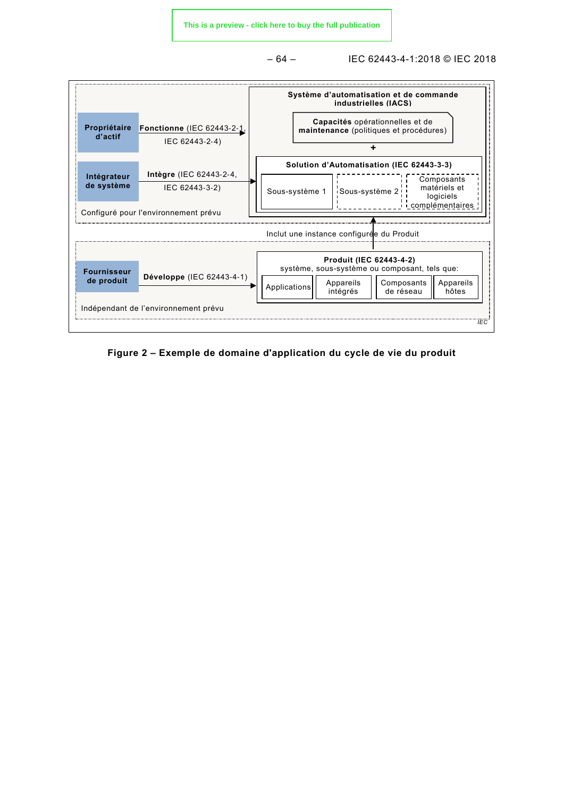– 64 – IEC 62443-4-1:2018 © IEC 2018



<span id="page-19-0"></span>**Figure 2 – Exemple de domaine d'application du cycle de vie du produit**